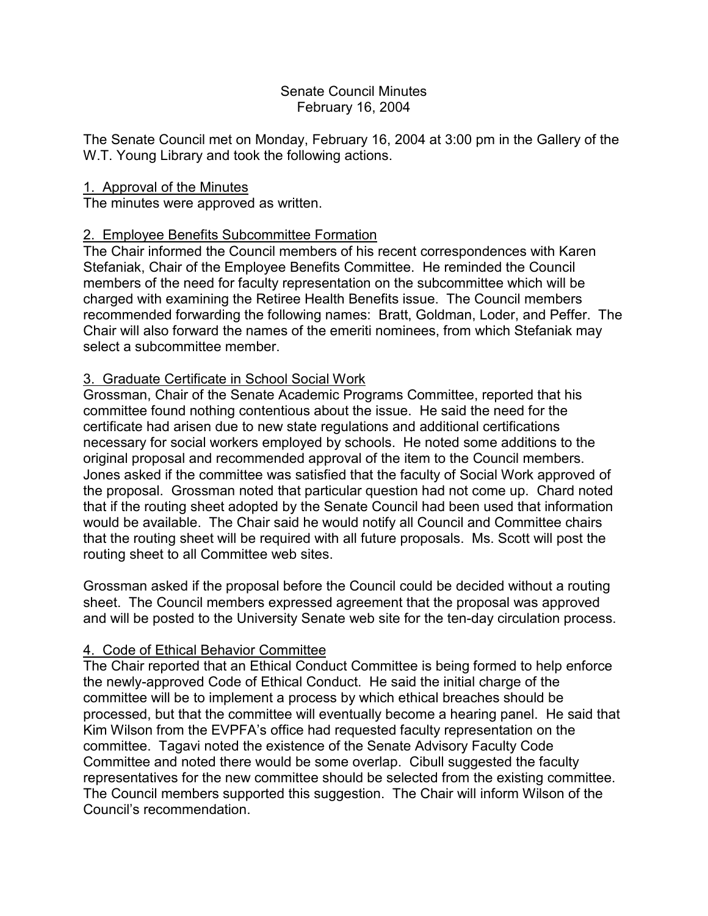### Senate Council Minutes February 16, 2004

The Senate Council met on Monday, February 16, 2004 at 3:00 pm in the Gallery of the W.T. Young Library and took the following actions.

## 1. Approval of the Minutes

The minutes were approved as written.

# 2. Employee Benefits Subcommittee Formation

The Chair informed the Council members of his recent correspondences with Karen Stefaniak, Chair of the Employee Benefits Committee. He reminded the Council members of the need for faculty representation on the subcommittee which will be charged with examining the Retiree Health Benefits issue. The Council members recommended forwarding the following names: Bratt, Goldman, Loder, and Peffer. The Chair will also forward the names of the emeriti nominees, from which Stefaniak may select a subcommittee member

# 3. Graduate Certificate in School Social Work

Grossman, Chair of the Senate Academic Programs Committee, reported that his committee found nothing contentious about the issue. He said the need for the certificate had arisen due to new state regulations and additional certifications necessary for social workers employed by schools. He noted some additions to the original proposal and recommended approval of the item to the Council members. Jones asked if the committee was satisfied that the faculty of Social Work approved of the proposal. Grossman noted that particular question had not come up. Chard noted that if the routing sheet adopted by the Senate Council had been used that information would be available. The Chair said he would notify all Council and Committee chairs that the routing sheet will be required with all future proposals. Ms. Scott will post the routing sheet to all Committee web sites.

Grossman asked if the proposal before the Council could be decided without a routing sheet. The Council members expressed agreement that the proposal was approved and will be posted to the University Senate web site for the ten-day circulation process.

## 4. Code of Ethical Behavior Committee

The Chair reported that an Ethical Conduct Committee is being formed to help enforce the newly-approved Code of Ethical Conduct. He said the initial charge of the committee will be to implement a process by which ethical breaches should be processed, but that the committee will eventually become a hearing panel. He said that Kim Wilson from the EVPFA's office had requested faculty representation on the committee. Tagavi noted the existence of the Senate Advisory Faculty Code Committee and noted there would be some overlap. Cibull suggested the faculty representatives for the new committee should be selected from the existing committee. The Council members supported this suggestion. The Chair will inform Wilson of the Council's recommendation.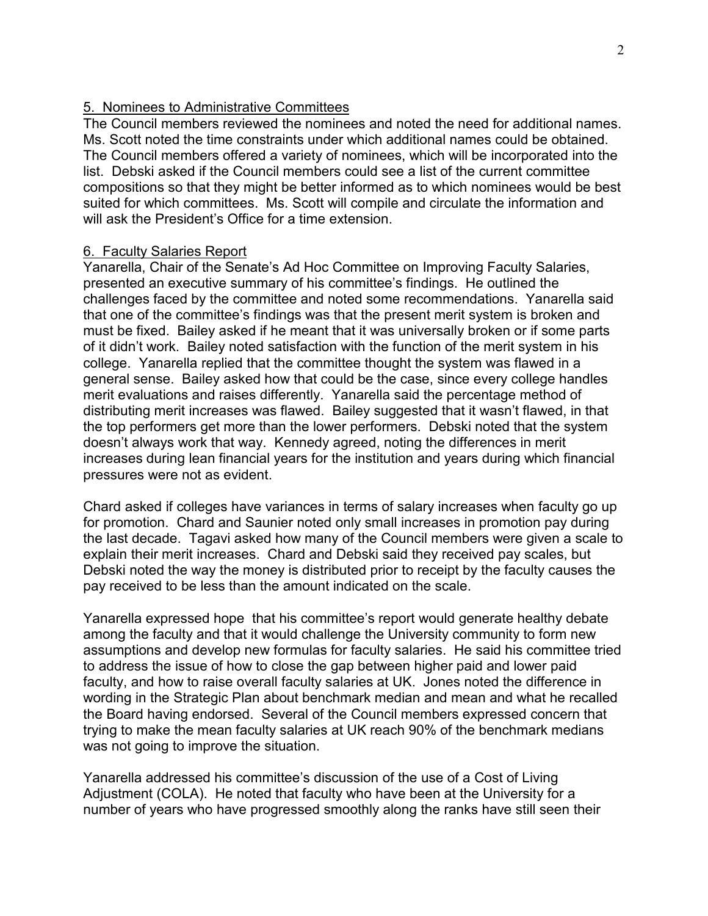### 5. Nominees to Administrative Committees

The Council members reviewed the nominees and noted the need for additional names. Ms. Scott noted the time constraints under which additional names could be obtained. The Council members offered a variety of nominees, which will be incorporated into the list. Debski asked if the Council members could see a list of the current committee compositions so that they might be better informed as to which nominees would be best suited for which committees. Ms. Scott will compile and circulate the information and will ask the President's Office for a time extension.

#### 6. Faculty Salaries Report

Yanarella, Chair of the Senate's Ad Hoc Committee on Improving Faculty Salaries, presented an executive summary of his committee's findings. He outlined the challenges faced by the committee and noted some recommendations. Yanarella said that one of the committee's findings was that the present merit system is broken and must be fixed. Bailey asked if he meant that it was universally broken or if some parts of it didn't work. Bailey noted satisfaction with the function of the merit system in his college. Yanarella replied that the committee thought the system was flawed in a general sense. Bailey asked how that could be the case, since every college handles merit evaluations and raises differently. Yanarella said the percentage method of distributing merit increases was flawed. Bailey suggested that it wasn't flawed, in that the top performers get more than the lower performers. Debski noted that the system doesn't always work that way. Kennedy agreed, noting the differences in merit increases during lean financial years for the institution and years during which financial pressures were not as evident.

Chard asked if colleges have variances in terms of salary increases when faculty go up for promotion. Chard and Saunier noted only small increases in promotion pay during the last decade. Tagavi asked how many of the Council members were given a scale to explain their merit increases. Chard and Debski said they received pay scales, but Debski noted the way the money is distributed prior to receipt by the faculty causes the pay received to be less than the amount indicated on the scale.

Yanarella expressed hope that his committee's report would generate healthy debate among the faculty and that it would challenge the University community to form new assumptions and develop new formulas for faculty salaries. He said his committee tried to address the issue of how to close the gap between higher paid and lower paid faculty, and how to raise overall faculty salaries at UK. Jones noted the difference in wording in the Strategic Plan about benchmark median and mean and what he recalled the Board having endorsed. Several of the Council members expressed concern that trying to make the mean faculty salaries at UK reach 90% of the benchmark medians was not going to improve the situation.

Yanarella addressed his committee's discussion of the use of a Cost of Living Adjustment (COLA). He noted that faculty who have been at the University for a number of years who have progressed smoothly along the ranks have still seen their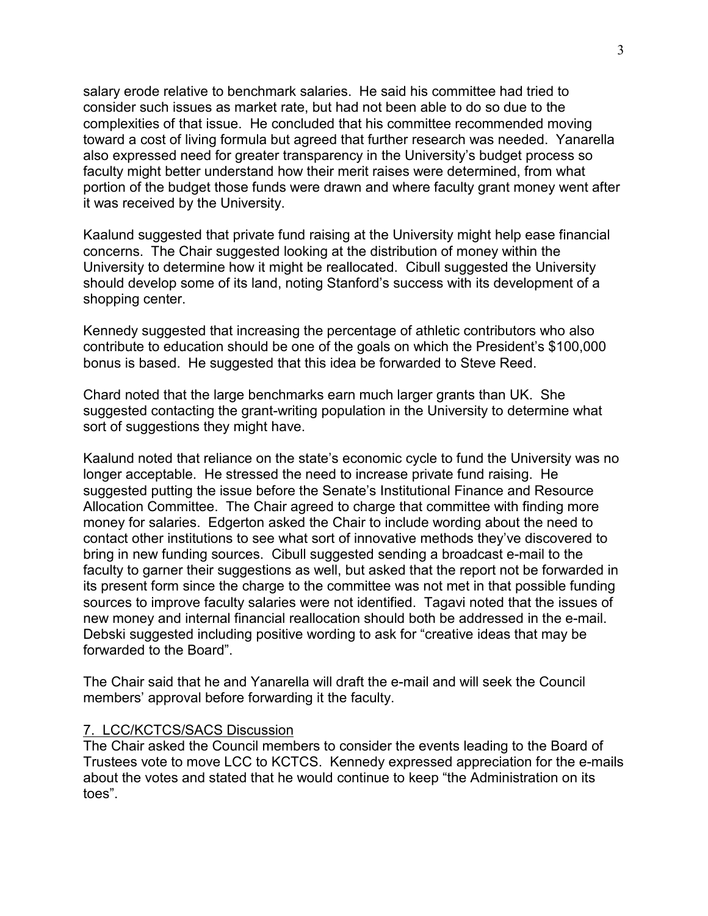salary erode relative to benchmark salaries. He said his committee had tried to consider such issues as market rate, but had not been able to do so due to the complexities of that issue. He concluded that his committee recommended moving toward a cost of living formula but agreed that further research was needed. Yanarella also expressed need for greater transparency in the University's budget process so faculty might better understand how their merit raises were determined, from what portion of the budget those funds were drawn and where faculty grant money went after it was received by the University.

Kaalund suggested that private fund raising at the University might help ease financial concerns. The Chair suggested looking at the distribution of money within the University to determine how it might be reallocated. Cibull suggested the University should develop some of its land, noting Stanford's success with its development of a shopping center.

Kennedy suggested that increasing the percentage of athletic contributors who also contribute to education should be one of the goals on which the President's \$100,000 bonus is based. He suggested that this idea be forwarded to Steve Reed.

Chard noted that the large benchmarks earn much larger grants than UK. She suggested contacting the grant-writing population in the University to determine what sort of suggestions they might have.

Kaalund noted that reliance on the state's economic cycle to fund the University was no longer acceptable. He stressed the need to increase private fund raising. He suggested putting the issue before the Senate's Institutional Finance and Resource Allocation Committee. The Chair agreed to charge that committee with finding more money for salaries. Edgerton asked the Chair to include wording about the need to contact other institutions to see what sort of innovative methods they've discovered to bring in new funding sources. Cibull suggested sending a broadcast e-mail to the faculty to garner their suggestions as well, but asked that the report not be forwarded in its present form since the charge to the committee was not met in that possible funding sources to improve faculty salaries were not identified. Tagavi noted that the issues of new money and internal financial reallocation should both be addressed in the e-mail. Debski suggested including positive wording to ask for "creative ideas that may be forwarded to the Board".

The Chair said that he and Yanarella will draft the e-mail and will seek the Council members' approval before forwarding it the faculty.

#### 7. LCC/KCTCS/SACS Discussion

The Chair asked the Council members to consider the events leading to the Board of Trustees vote to move LCC to KCTCS. Kennedy expressed appreciation for the e-mails about the votes and stated that he would continue to keep "the Administration on its toes".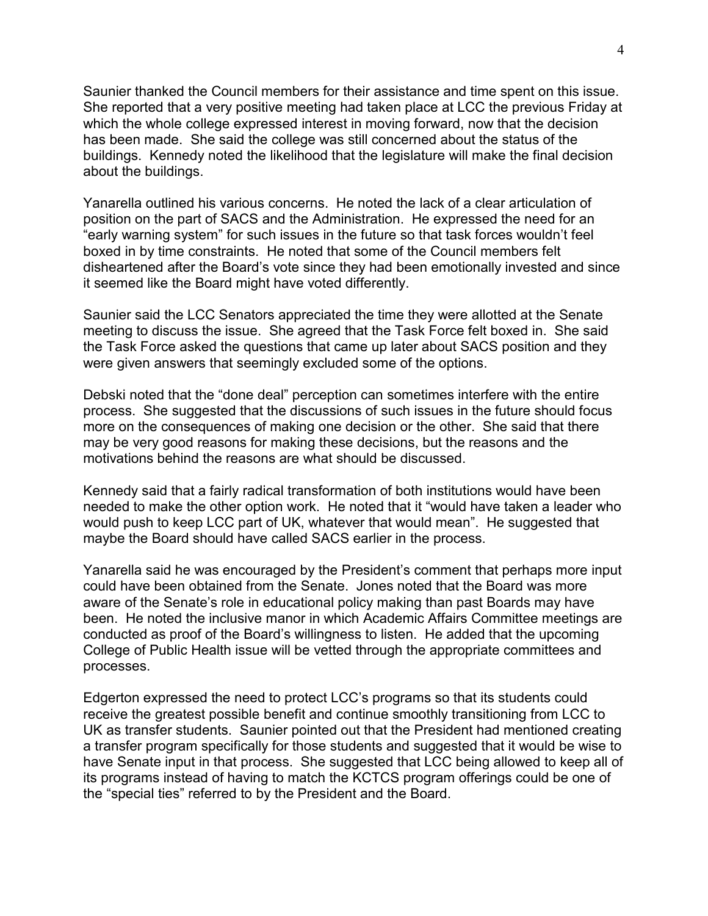Saunier thanked the Council members for their assistance and time spent on this issue. She reported that a very positive meeting had taken place at LCC the previous Friday at which the whole college expressed interest in moving forward, now that the decision has been made. She said the college was still concerned about the status of the buildings. Kennedy noted the likelihood that the legislature will make the final decision about the buildings.

Yanarella outlined his various concerns. He noted the lack of a clear articulation of position on the part of SACS and the Administration. He expressed the need for an "early warning system" for such issues in the future so that task forces wouldn't feel boxed in by time constraints. He noted that some of the Council members felt disheartened after the Board's vote since they had been emotionally invested and since it seemed like the Board might have voted differently.

Saunier said the LCC Senators appreciated the time they were allotted at the Senate meeting to discuss the issue. She agreed that the Task Force felt boxed in. She said the Task Force asked the questions that came up later about SACS position and they were given answers that seemingly excluded some of the options.

Debski noted that the "done deal" perception can sometimes interfere with the entire process. She suggested that the discussions of such issues in the future should focus more on the consequences of making one decision or the other. She said that there may be very good reasons for making these decisions, but the reasons and the motivations behind the reasons are what should be discussed.

Kennedy said that a fairly radical transformation of both institutions would have been needed to make the other option work. He noted that it "would have taken a leader who would push to keep LCC part of UK, whatever that would mean". He suggested that maybe the Board should have called SACS earlier in the process.

Yanarella said he was encouraged by the President's comment that perhaps more input could have been obtained from the Senate. Jones noted that the Board was more aware of the Senate's role in educational policy making than past Boards may have been. He noted the inclusive manor in which Academic Affairs Committee meetings are conducted as proof of the Board's willingness to listen. He added that the upcoming College of Public Health issue will be vetted through the appropriate committees and processes.

Edgerton expressed the need to protect LCC's programs so that its students could receive the greatest possible benefit and continue smoothly transitioning from LCC to UK as transfer students. Saunier pointed out that the President had mentioned creating a transfer program specifically for those students and suggested that it would be wise to have Senate input in that process. She suggested that LCC being allowed to keep all of its programs instead of having to match the KCTCS program offerings could be one of the "special ties" referred to by the President and the Board.